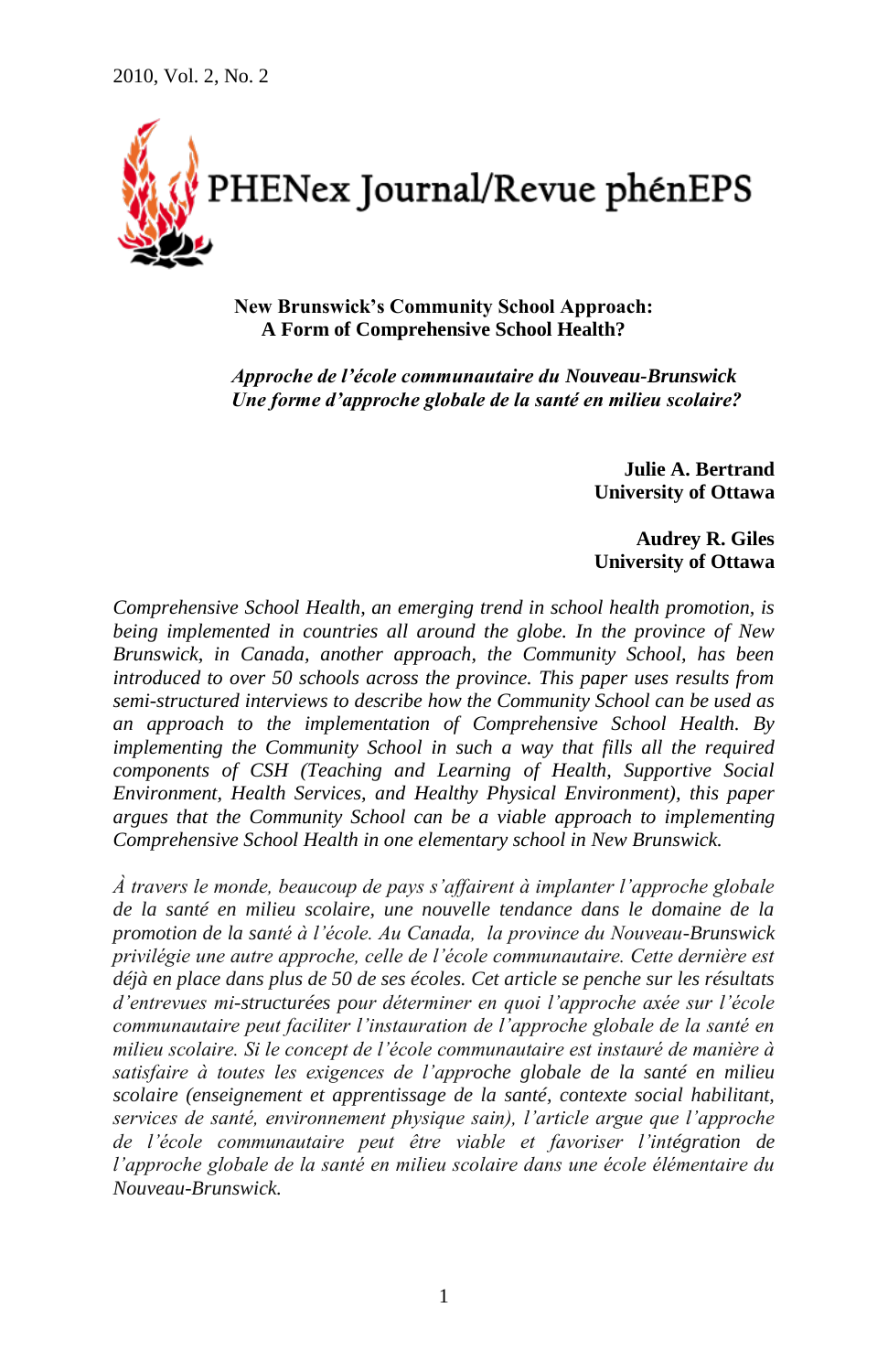

**New Brunswick's Community School Approach: A Form of Comprehensive School Health?**

*Approche de l'école communautaire du Nouveau-Brunswick Une forme d'approche globale de la santé en milieu scolaire?*

> **Julie A. Bertrand University of Ottawa**

> **Audrey R. Giles University of Ottawa**

*Comprehensive School Health, an emerging trend in school health promotion, is being implemented in countries all around the globe. In the province of New Brunswick, in Canada, another approach, the Community School, has been introduced to over 50 schools across the province. This paper uses results from semi-structured interviews to describe how the Community School can be used as an approach to the implementation of Comprehensive School Health. By implementing the Community School in such a way that fills all the required components of CSH (Teaching and Learning of Health, Supportive Social Environment, Health Services, and Healthy Physical Environment), this paper argues that the Community School can be a viable approach to implementing Comprehensive School Health in one elementary school in New Brunswick.*

*À travers le monde, beaucoup de pays s'affairent à implanter l'approche globale de la santé en milieu scolaire, une nouvelle tendance dans le domaine de la promotion de la santé à l'école. Au Canada, la province du Nouveau-Brunswick privilégie une autre approche, celle de l'école communautaire. Cette dernière est déjà en place dans plus de 50 de ses écoles. Cet article se penche sur les résultats d'entrevues mi-structurées pour déterminer en quoi l'approche axée sur l'école communautaire peut faciliter l'instauration de l'approche globale de la santé en milieu scolaire. Si le concept de l'école communautaire est instauré de manière à satisfaire à toutes les exigences de l'approche globale de la santé en milieu scolaire (enseignement et apprentissage de la santé, contexte social habilitant, services de santé, environnement physique sain), l'article argue que l'approche de l'école communautaire peut être viable et favoriser l'intégration de l'approche globale de la santé en milieu scolaire dans une école élémentaire du Nouveau-Brunswick.*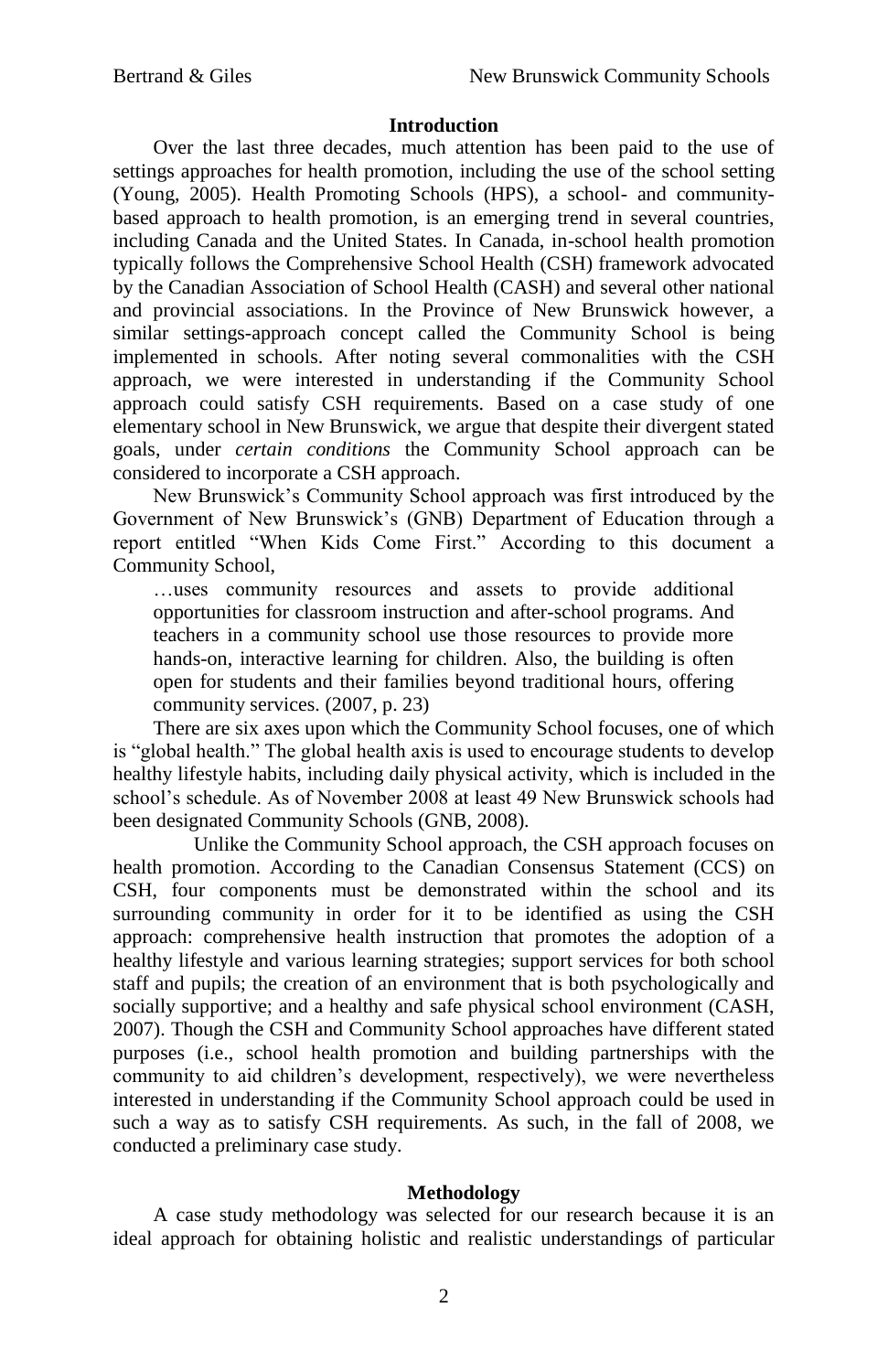# **Introduction**

Over the last three decades, much attention has been paid to the use of settings approaches for health promotion, including the use of the school setting (Young, 2005). Health Promoting Schools (HPS), a school- and communitybased approach to health promotion, is an emerging trend in several countries, including Canada and the United States. In Canada, in-school health promotion typically follows the Comprehensive School Health (CSH) framework advocated by the Canadian Association of School Health (CASH) and several other national and provincial associations. In the Province of New Brunswick however, a similar settings-approach concept called the Community School is being implemented in schools. After noting several commonalities with the CSH approach, we were interested in understanding if the Community School approach could satisfy CSH requirements. Based on a case study of one elementary school in New Brunswick, we argue that despite their divergent stated goals, under *certain conditions* the Community School approach can be considered to incorporate a CSH approach.

New Brunswick's Community School approach was first introduced by the Government of New Brunswick's (GNB) Department of Education through a report entitled "When Kids Come First." According to this document a Community School,

…uses community resources and assets to provide additional opportunities for classroom instruction and after-school programs. And teachers in a community school use those resources to provide more hands-on, interactive learning for children. Also, the building is often open for students and their families beyond traditional hours, offering community services. (2007, p. 23)

There are six axes upon which the Community School focuses, one of which is "global health." The global health axis is used to encourage students to develop healthy lifestyle habits, including daily physical activity, which is included in the school's schedule. As of November 2008 at least 49 New Brunswick schools had been designated Community Schools (GNB, 2008).

Unlike the Community School approach, the CSH approach focuses on health promotion. According to the Canadian Consensus Statement (CCS) on CSH, four components must be demonstrated within the school and its surrounding community in order for it to be identified as using the CSH approach: comprehensive health instruction that promotes the adoption of a healthy lifestyle and various learning strategies; support services for both school staff and pupils; the creation of an environment that is both psychologically and socially supportive; and a healthy and safe physical school environment (CASH, 2007). Though the CSH and Community School approaches have different stated purposes (i.e., school health promotion and building partnerships with the community to aid children's development, respectively), we were nevertheless interested in understanding if the Community School approach could be used in such a way as to satisfy CSH requirements. As such, in the fall of 2008, we conducted a preliminary case study.

# **Methodology**

A case study methodology was selected for our research because it is an ideal approach for obtaining holistic and realistic understandings of particular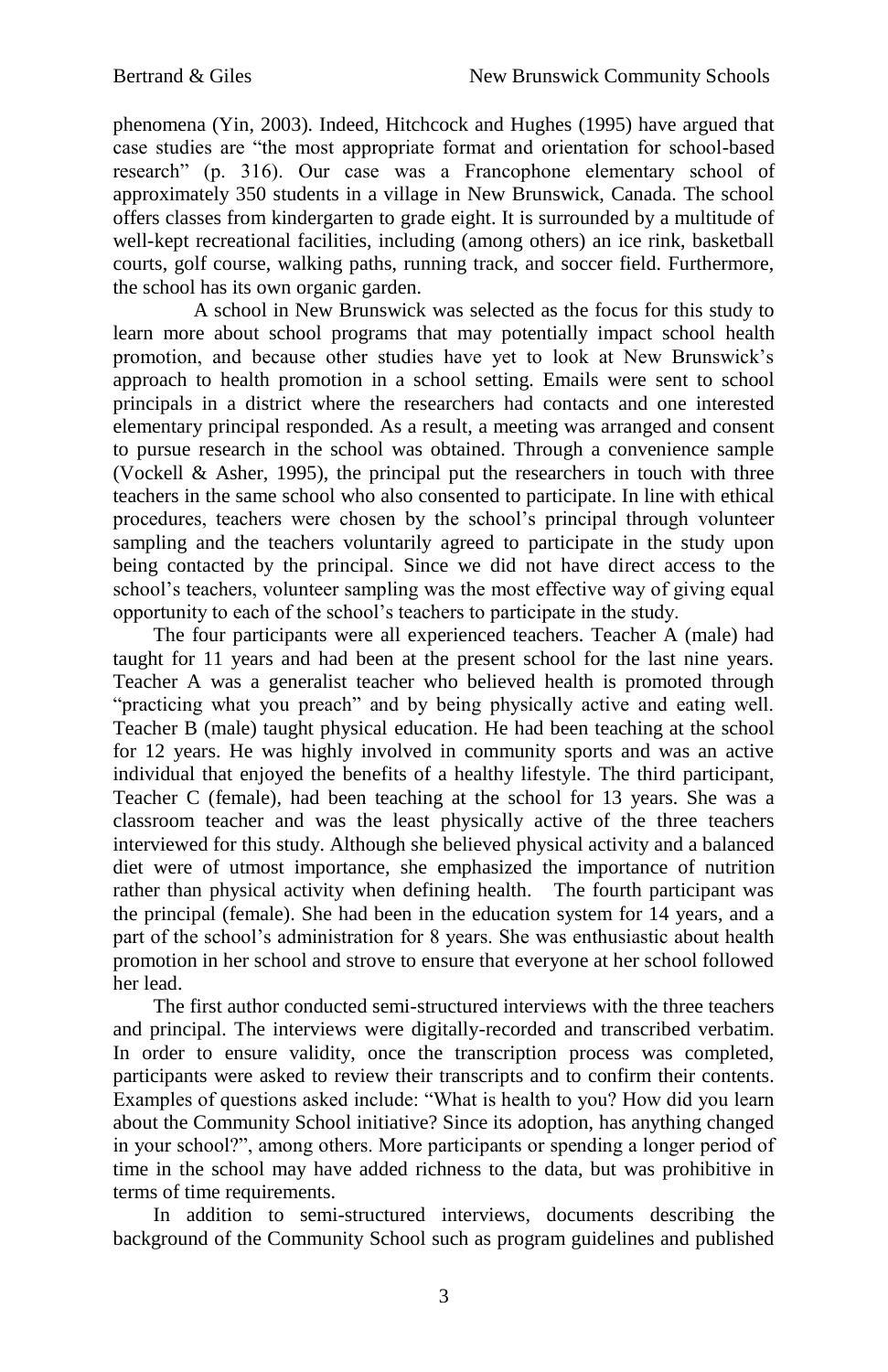phenomena (Yin, 2003). Indeed, Hitchcock and Hughes (1995) have argued that case studies are "the most appropriate format and orientation for school-based research" (p. 316). Our case was a Francophone elementary school of approximately 350 students in a village in New Brunswick, Canada. The school offers classes from kindergarten to grade eight. It is surrounded by a multitude of well-kept recreational facilities, including (among others) an ice rink, basketball courts, golf course, walking paths, running track, and soccer field. Furthermore, the school has its own organic garden.

A school in New Brunswick was selected as the focus for this study to learn more about school programs that may potentially impact school health promotion, and because other studies have yet to look at New Brunswick's approach to health promotion in a school setting. Emails were sent to school principals in a district where the researchers had contacts and one interested elementary principal responded. As a result, a meeting was arranged and consent to pursue research in the school was obtained. Through a convenience sample (Vockell & Asher, 1995), the principal put the researchers in touch with three teachers in the same school who also consented to participate. In line with ethical procedures, teachers were chosen by the school's principal through volunteer sampling and the teachers voluntarily agreed to participate in the study upon being contacted by the principal. Since we did not have direct access to the school's teachers, volunteer sampling was the most effective way of giving equal opportunity to each of the school's teachers to participate in the study.

The four participants were all experienced teachers. Teacher A (male) had taught for 11 years and had been at the present school for the last nine years. Teacher A was a generalist teacher who believed health is promoted through "practicing what you preach" and by being physically active and eating well. Teacher B (male) taught physical education. He had been teaching at the school for 12 years. He was highly involved in community sports and was an active individual that enjoyed the benefits of a healthy lifestyle. The third participant, Teacher C (female), had been teaching at the school for 13 years. She was a classroom teacher and was the least physically active of the three teachers interviewed for this study. Although she believed physical activity and a balanced diet were of utmost importance, she emphasized the importance of nutrition rather than physical activity when defining health. The fourth participant was the principal (female). She had been in the education system for 14 years, and a part of the school's administration for 8 years. She was enthusiastic about health promotion in her school and strove to ensure that everyone at her school followed her lead.

The first author conducted semi-structured interviews with the three teachers and principal. The interviews were digitally-recorded and transcribed verbatim. In order to ensure validity, once the transcription process was completed, participants were asked to review their transcripts and to confirm their contents. Examples of questions asked include: "What is health to you? How did you learn about the Community School initiative? Since its adoption, has anything changed in your school?", among others. More participants or spending a longer period of time in the school may have added richness to the data, but was prohibitive in terms of time requirements.

In addition to semi-structured interviews, documents describing the background of the Community School such as program guidelines and published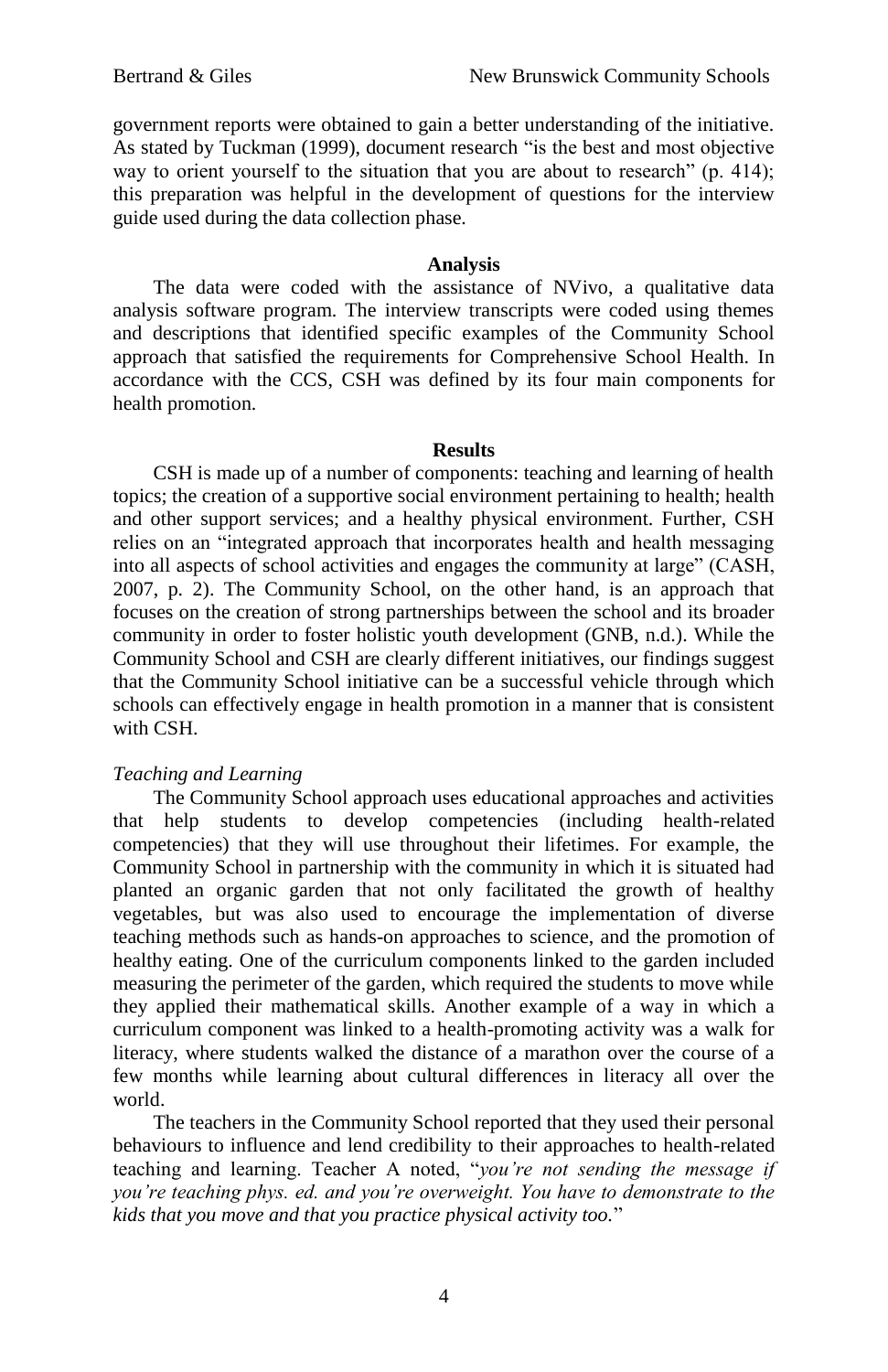government reports were obtained to gain a better understanding of the initiative. As stated by Tuckman (1999), document research "is the best and most objective way to orient yourself to the situation that you are about to research" (p. 414); this preparation was helpful in the development of questions for the interview guide used during the data collection phase.

## **Analysis**

The data were coded with the assistance of NVivo, a qualitative data analysis software program. The interview transcripts were coded using themes and descriptions that identified specific examples of the Community School approach that satisfied the requirements for Comprehensive School Health. In accordance with the CCS, CSH was defined by its four main components for health promotion.

#### **Results**

CSH is made up of a number of components: teaching and learning of health topics; the creation of a supportive social environment pertaining to health; health and other support services; and a healthy physical environment. Further, CSH relies on an "integrated approach that incorporates health and health messaging into all aspects of school activities and engages the community at large" (CASH, 2007, p. 2). The Community School, on the other hand, is an approach that focuses on the creation of strong partnerships between the school and its broader community in order to foster holistic youth development (GNB, n.d.). While the Community School and CSH are clearly different initiatives, our findings suggest that the Community School initiative can be a successful vehicle through which schools can effectively engage in health promotion in a manner that is consistent with CSH.

## *Teaching and Learning*

The Community School approach uses educational approaches and activities that help students to develop competencies (including health-related competencies) that they will use throughout their lifetimes. For example, the Community School in partnership with the community in which it is situated had planted an organic garden that not only facilitated the growth of healthy vegetables, but was also used to encourage the implementation of diverse teaching methods such as hands-on approaches to science, and the promotion of healthy eating. One of the curriculum components linked to the garden included measuring the perimeter of the garden, which required the students to move while they applied their mathematical skills. Another example of a way in which a curriculum component was linked to a health-promoting activity was a walk for literacy, where students walked the distance of a marathon over the course of a few months while learning about cultural differences in literacy all over the world.

The teachers in the Community School reported that they used their personal behaviours to influence and lend credibility to their approaches to health-related teaching and learning. Teacher A noted, "*you're not sending the message if you're teaching phys. ed. and you're overweight. You have to demonstrate to the kids that you move and that you practice physical activity too.*"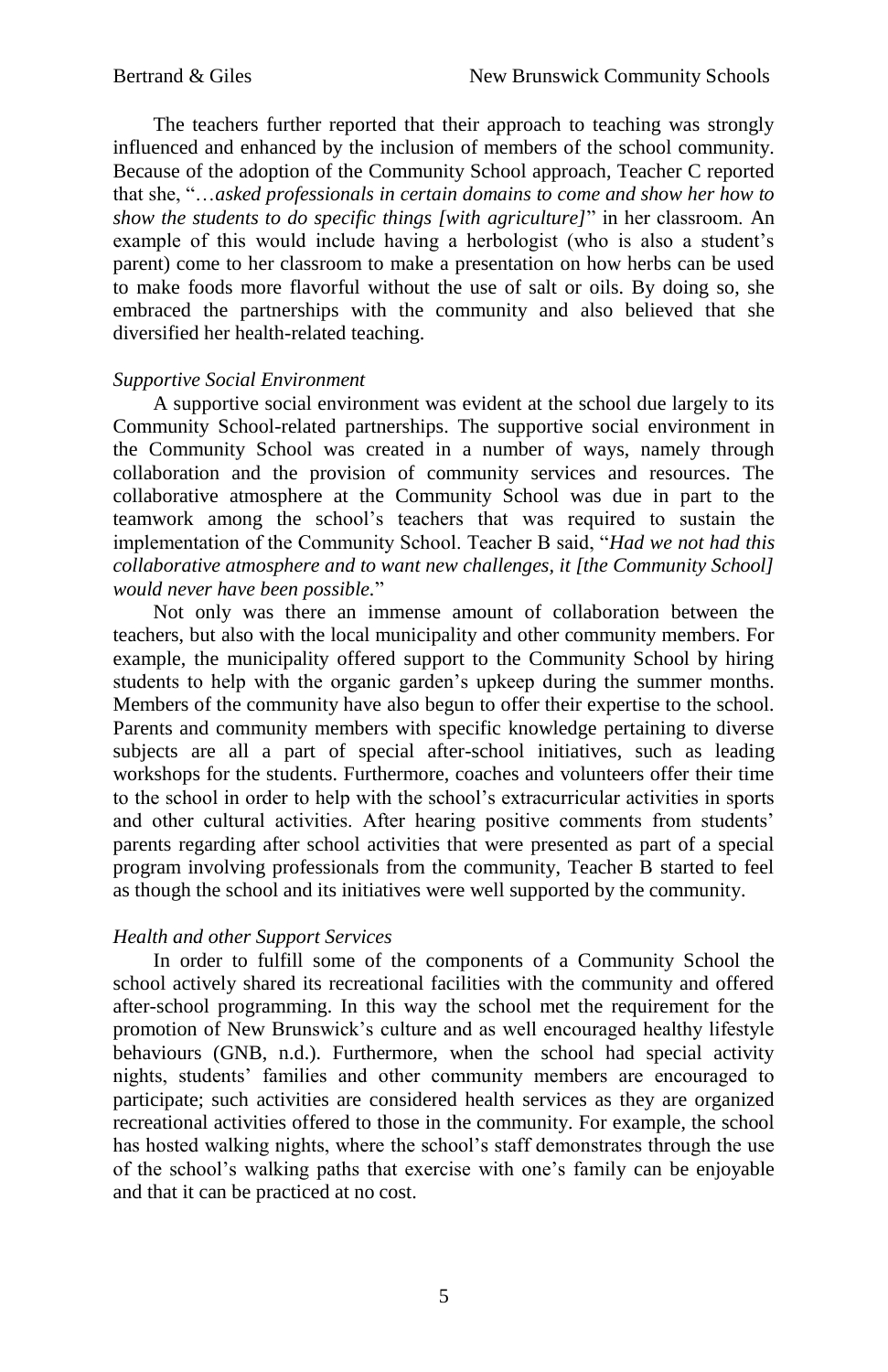The teachers further reported that their approach to teaching was strongly influenced and enhanced by the inclusion of members of the school community. Because of the adoption of the Community School approach, Teacher C reported that she, "…*asked professionals in certain domains to come and show her how to show the students to do specific things [with agriculture]*" in her classroom. An example of this would include having a herbologist (who is also a student's parent) come to her classroom to make a presentation on how herbs can be used to make foods more flavorful without the use of salt or oils. By doing so, she embraced the partnerships with the community and also believed that she diversified her health-related teaching.

#### *Supportive Social Environment*

A supportive social environment was evident at the school due largely to its Community School-related partnerships. The supportive social environment in the Community School was created in a number of ways, namely through collaboration and the provision of community services and resources. The collaborative atmosphere at the Community School was due in part to the teamwork among the school's teachers that was required to sustain the implementation of the Community School. Teacher B said, "*Had we not had this collaborative atmosphere and to want new challenges, it [the Community School] would never have been possible.*"

Not only was there an immense amount of collaboration between the teachers, but also with the local municipality and other community members. For example, the municipality offered support to the Community School by hiring students to help with the organic garden's upkeep during the summer months. Members of the community have also begun to offer their expertise to the school. Parents and community members with specific knowledge pertaining to diverse subjects are all a part of special after-school initiatives, such as leading workshops for the students. Furthermore, coaches and volunteers offer their time to the school in order to help with the school's extracurricular activities in sports and other cultural activities. After hearing positive comments from students' parents regarding after school activities that were presented as part of a special program involving professionals from the community, Teacher B started to feel as though the school and its initiatives were well supported by the community.

## *Health and other Support Services*

In order to fulfill some of the components of a Community School the school actively shared its recreational facilities with the community and offered after-school programming. In this way the school met the requirement for the promotion of New Brunswick's culture and as well encouraged healthy lifestyle behaviours (GNB, n.d.). Furthermore, when the school had special activity nights, students' families and other community members are encouraged to participate; such activities are considered health services as they are organized recreational activities offered to those in the community. For example, the school has hosted walking nights, where the school's staff demonstrates through the use of the school's walking paths that exercise with one's family can be enjoyable and that it can be practiced at no cost.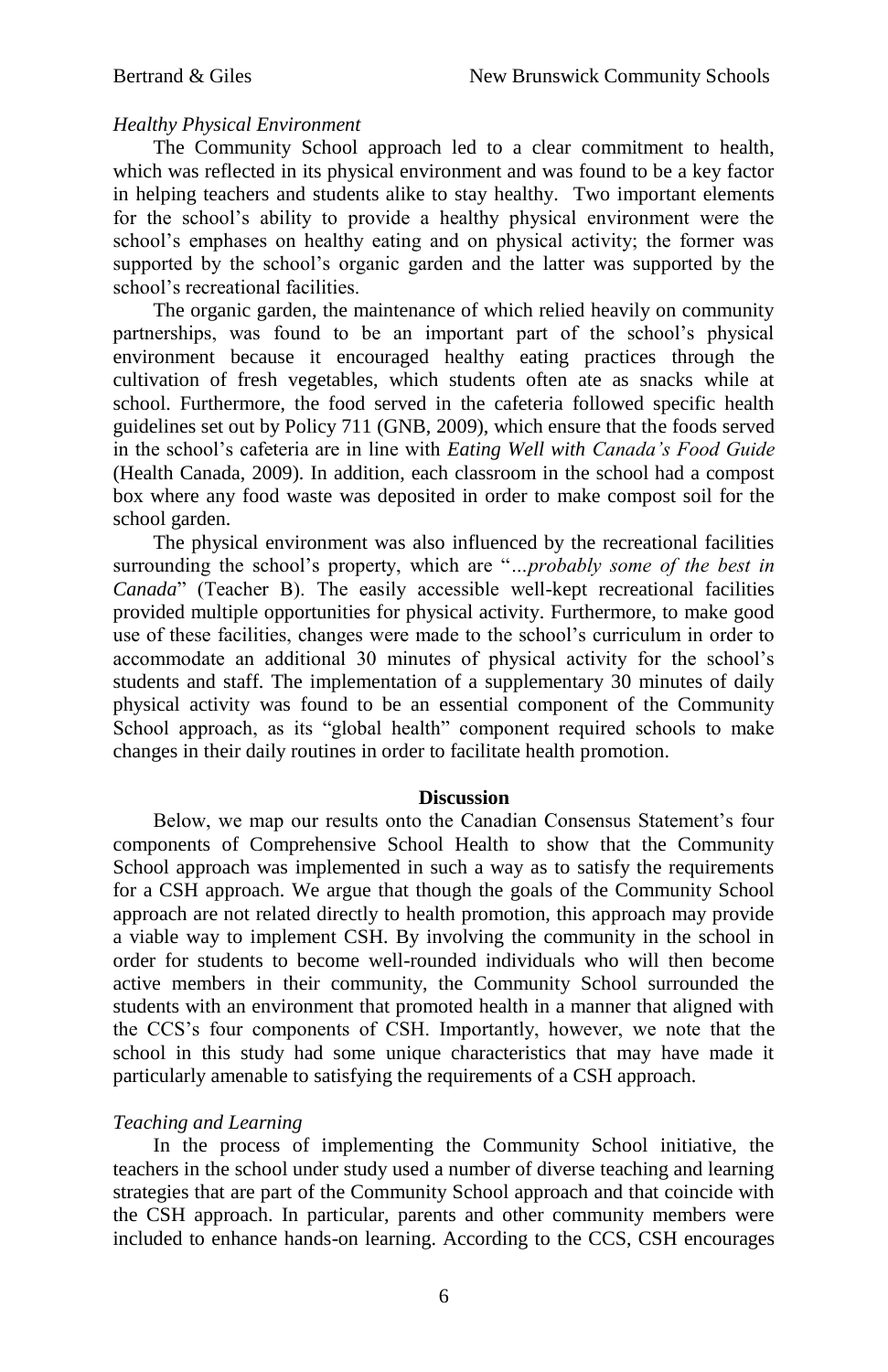## *Healthy Physical Environment*

The Community School approach led to a clear commitment to health, which was reflected in its physical environment and was found to be a key factor in helping teachers and students alike to stay healthy. Two important elements for the school's ability to provide a healthy physical environment were the school's emphases on healthy eating and on physical activity; the former was supported by the school's organic garden and the latter was supported by the school's recreational facilities.

The organic garden, the maintenance of which relied heavily on community partnerships, was found to be an important part of the school's physical environment because it encouraged healthy eating practices through the cultivation of fresh vegetables, which students often ate as snacks while at school. Furthermore, the food served in the cafeteria followed specific health guidelines set out by Policy 711 (GNB, 2009), which ensure that the foods served in the school's cafeteria are in line with *Eating Well with Canada's Food Guide* (Health Canada, 2009). In addition, each classroom in the school had a compost box where any food waste was deposited in order to make compost soil for the school garden.

The physical environment was also influenced by the recreational facilities surrounding the school's property, which are "*…probably some of the best in Canada*" (Teacher B). The easily accessible well-kept recreational facilities provided multiple opportunities for physical activity. Furthermore, to make good use of these facilities, changes were made to the school's curriculum in order to accommodate an additional 30 minutes of physical activity for the school's students and staff. The implementation of a supplementary 30 minutes of daily physical activity was found to be an essential component of the Community School approach, as its "global health" component required schools to make changes in their daily routines in order to facilitate health promotion.

## **Discussion**

Below, we map our results onto the Canadian Consensus Statement's four components of Comprehensive School Health to show that the Community School approach was implemented in such a way as to satisfy the requirements for a CSH approach. We argue that though the goals of the Community School approach are not related directly to health promotion, this approach may provide a viable way to implement CSH. By involving the community in the school in order for students to become well-rounded individuals who will then become active members in their community, the Community School surrounded the students with an environment that promoted health in a manner that aligned with the CCS's four components of CSH. Importantly, however, we note that the school in this study had some unique characteristics that may have made it particularly amenable to satisfying the requirements of a CSH approach.

#### *Teaching and Learning*

In the process of implementing the Community School initiative, the teachers in the school under study used a number of diverse teaching and learning strategies that are part of the Community School approach and that coincide with the CSH approach. In particular, parents and other community members were included to enhance hands-on learning. According to the CCS, CSH encourages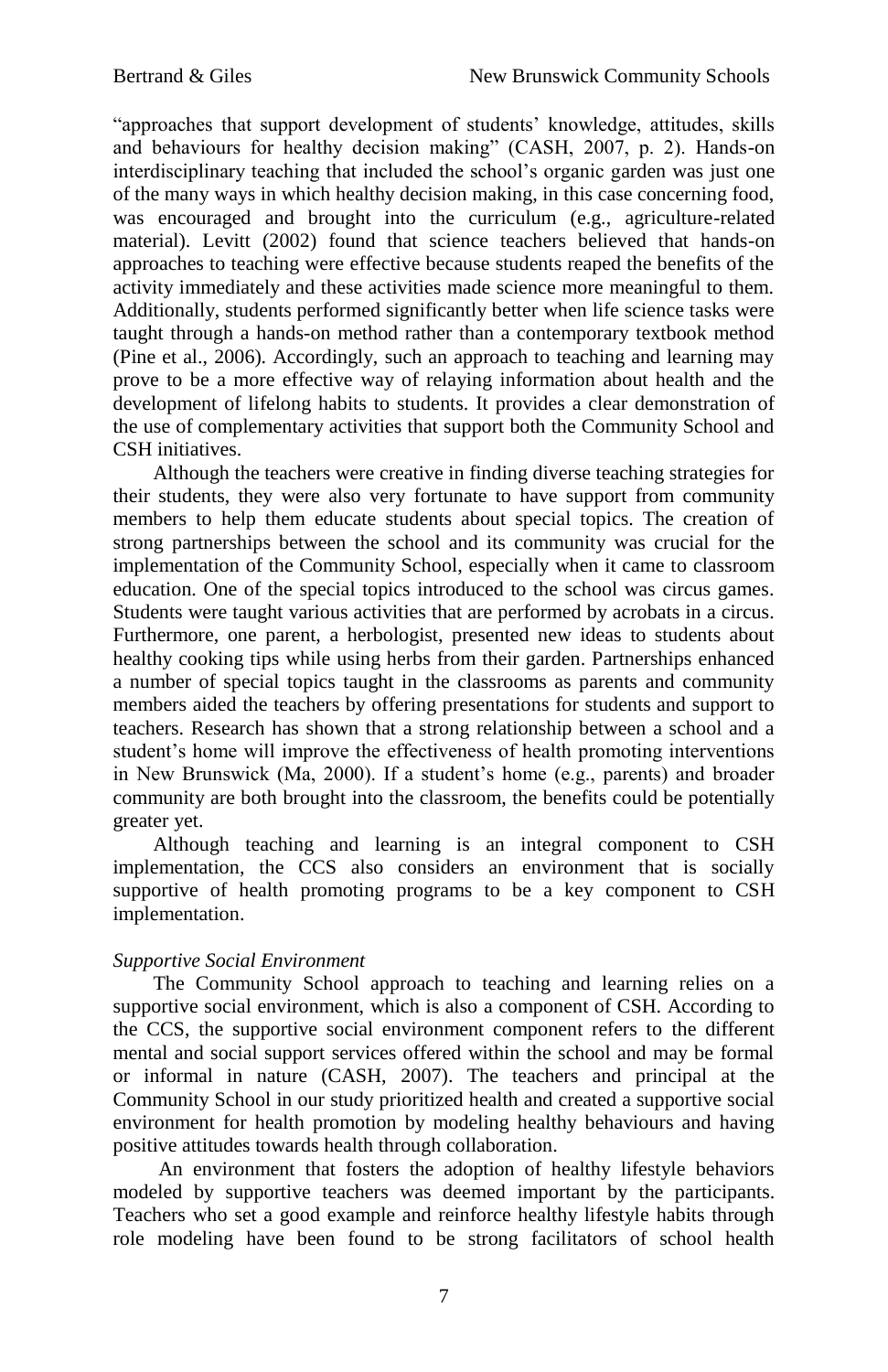"approaches that support development of students' knowledge, attitudes, skills and behaviours for healthy decision making" (CASH, 2007, p. 2). Hands-on interdisciplinary teaching that included the school's organic garden was just one of the many ways in which healthy decision making, in this case concerning food, was encouraged and brought into the curriculum (e.g., agriculture-related material). Levitt (2002) found that science teachers believed that hands-on approaches to teaching were effective because students reaped the benefits of the activity immediately and these activities made science more meaningful to them. Additionally, students performed significantly better when life science tasks were taught through a hands-on method rather than a contemporary textbook method (Pine et al., 2006). Accordingly, such an approach to teaching and learning may prove to be a more effective way of relaying information about health and the development of lifelong habits to students. It provides a clear demonstration of the use of complementary activities that support both the Community School and CSH initiatives.

Although the teachers were creative in finding diverse teaching strategies for their students, they were also very fortunate to have support from community members to help them educate students about special topics. The creation of strong partnerships between the school and its community was crucial for the implementation of the Community School, especially when it came to classroom education. One of the special topics introduced to the school was circus games. Students were taught various activities that are performed by acrobats in a circus. Furthermore, one parent, a herbologist, presented new ideas to students about healthy cooking tips while using herbs from their garden. Partnerships enhanced a number of special topics taught in the classrooms as parents and community members aided the teachers by offering presentations for students and support to teachers. Research has shown that a strong relationship between a school and a student's home will improve the effectiveness of health promoting interventions in New Brunswick (Ma, 2000). If a student's home (e.g., parents) and broader community are both brought into the classroom, the benefits could be potentially greater yet.

Although teaching and learning is an integral component to CSH implementation, the CCS also considers an environment that is socially supportive of health promoting programs to be a key component to CSH implementation.

# *Supportive Social Environment*

The Community School approach to teaching and learning relies on a supportive social environment, which is also a component of CSH. According to the CCS, the supportive social environment component refers to the different mental and social support services offered within the school and may be formal or informal in nature (CASH, 2007). The teachers and principal at the Community School in our study prioritized health and created a supportive social environment for health promotion by modeling healthy behaviours and having positive attitudes towards health through collaboration.

An environment that fosters the adoption of healthy lifestyle behaviors modeled by supportive teachers was deemed important by the participants. Teachers who set a good example and reinforce healthy lifestyle habits through role modeling have been found to be strong facilitators of school health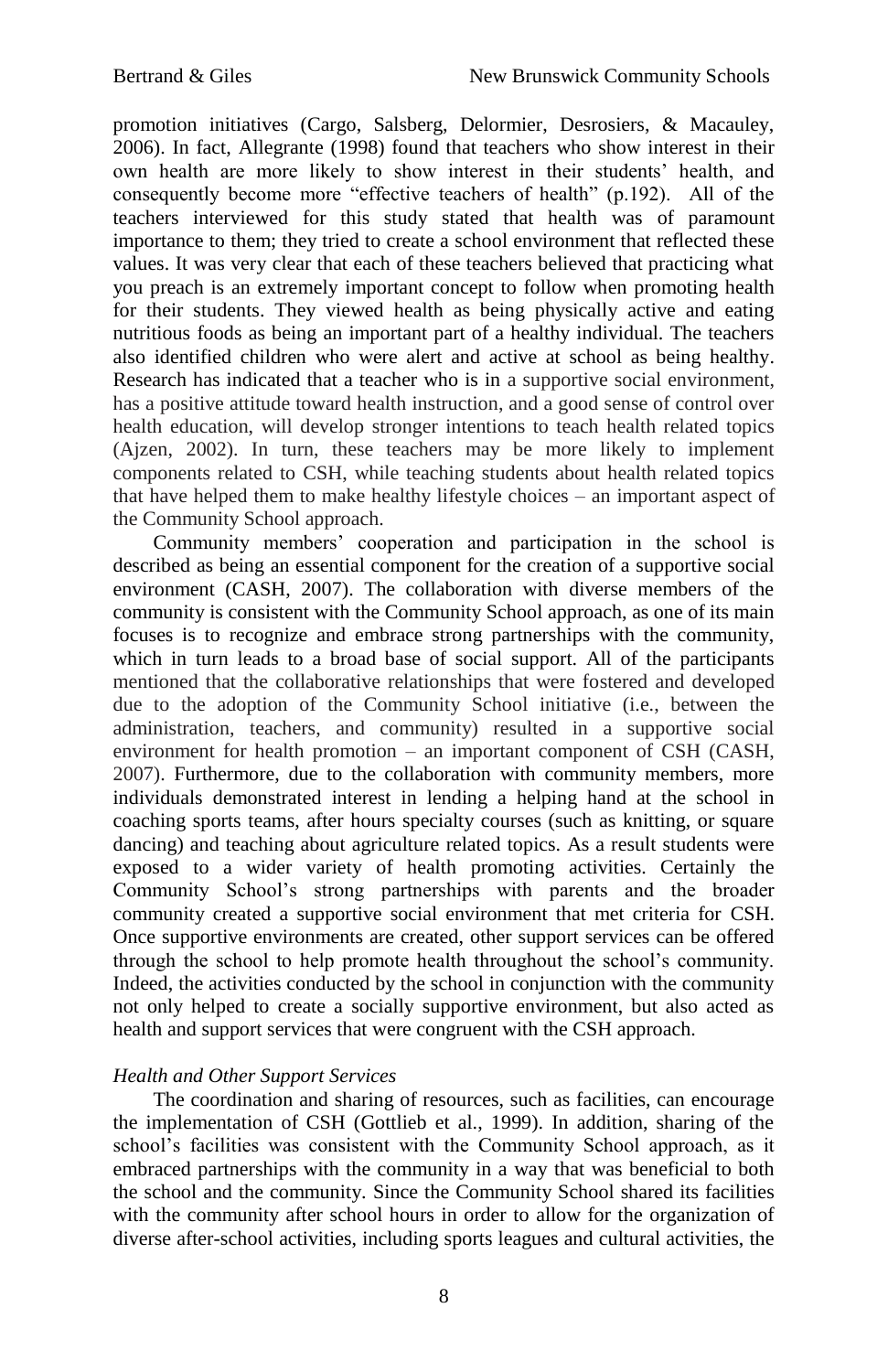promotion initiatives (Cargo, Salsberg, Delormier, Desrosiers, & Macauley, 2006). In fact, Allegrante (1998) found that teachers who show interest in their own health are more likely to show interest in their students' health, and consequently become more "effective teachers of health" (p.192). All of the teachers interviewed for this study stated that health was of paramount importance to them; they tried to create a school environment that reflected these values. It was very clear that each of these teachers believed that practicing what you preach is an extremely important concept to follow when promoting health for their students. They viewed health as being physically active and eating nutritious foods as being an important part of a healthy individual. The teachers also identified children who were alert and active at school as being healthy. Research has indicated that a teacher who is in a supportive social environment, has a positive attitude toward health instruction, and a good sense of control over health education, will develop stronger intentions to teach health related topics (Ajzen, 2002). In turn, these teachers may be more likely to implement components related to CSH, while teaching students about health related topics that have helped them to make healthy lifestyle choices – an important aspect of the Community School approach.

Community members' cooperation and participation in the school is described as being an essential component for the creation of a supportive social environment (CASH, 2007). The collaboration with diverse members of the community is consistent with the Community School approach, as one of its main focuses is to recognize and embrace strong partnerships with the community, which in turn leads to a broad base of social support. All of the participants mentioned that the collaborative relationships that were fostered and developed due to the adoption of the Community School initiative (i.e., between the administration, teachers, and community) resulted in a supportive social environment for health promotion – an important component of CSH (CASH, 2007). Furthermore, due to the collaboration with community members, more individuals demonstrated interest in lending a helping hand at the school in coaching sports teams, after hours specialty courses (such as knitting, or square dancing) and teaching about agriculture related topics. As a result students were exposed to a wider variety of health promoting activities. Certainly the Community School's strong partnerships with parents and the broader community created a supportive social environment that met criteria for CSH. Once supportive environments are created, other support services can be offered through the school to help promote health throughout the school's community. Indeed, the activities conducted by the school in conjunction with the community not only helped to create a socially supportive environment, but also acted as health and support services that were congruent with the CSH approach.

# *Health and Other Support Services*

The coordination and sharing of resources, such as facilities, can encourage the implementation of CSH (Gottlieb et al., 1999). In addition, sharing of the school's facilities was consistent with the Community School approach, as it embraced partnerships with the community in a way that was beneficial to both the school and the community. Since the Community School shared its facilities with the community after school hours in order to allow for the organization of diverse after-school activities, including sports leagues and cultural activities, the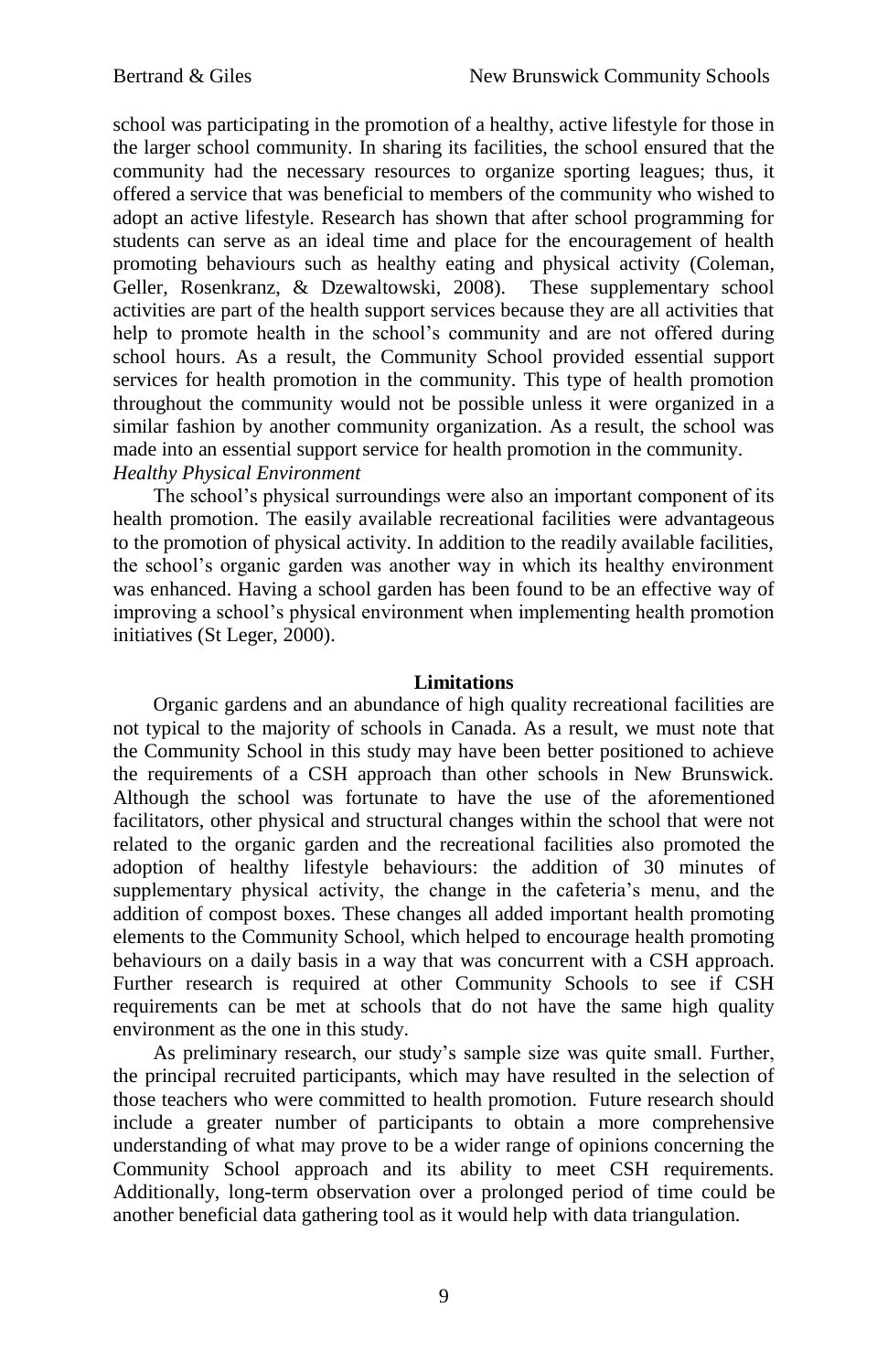school was participating in the promotion of a healthy, active lifestyle for those in the larger school community. In sharing its facilities, the school ensured that the community had the necessary resources to organize sporting leagues; thus, it offered a service that was beneficial to members of the community who wished to adopt an active lifestyle. Research has shown that after school programming for students can serve as an ideal time and place for the encouragement of health promoting behaviours such as healthy eating and physical activity (Coleman, Geller, Rosenkranz, & Dzewaltowski, 2008). These supplementary school activities are part of the health support services because they are all activities that help to promote health in the school's community and are not offered during school hours. As a result, the Community School provided essential support services for health promotion in the community. This type of health promotion throughout the community would not be possible unless it were organized in a similar fashion by another community organization. As a result, the school was made into an essential support service for health promotion in the community. *Healthy Physical Environment*

The school's physical surroundings were also an important component of its health promotion. The easily available recreational facilities were advantageous to the promotion of physical activity. In addition to the readily available facilities, the school's organic garden was another way in which its healthy environment was enhanced. Having a school garden has been found to be an effective way of improving a school's physical environment when implementing health promotion initiatives (St Leger, 2000).

### **Limitations**

Organic gardens and an abundance of high quality recreational facilities are not typical to the majority of schools in Canada. As a result, we must note that the Community School in this study may have been better positioned to achieve the requirements of a CSH approach than other schools in New Brunswick. Although the school was fortunate to have the use of the aforementioned facilitators, other physical and structural changes within the school that were not related to the organic garden and the recreational facilities also promoted the adoption of healthy lifestyle behaviours: the addition of 30 minutes of supplementary physical activity, the change in the cafeteria's menu, and the addition of compost boxes. These changes all added important health promoting elements to the Community School, which helped to encourage health promoting behaviours on a daily basis in a way that was concurrent with a CSH approach. Further research is required at other Community Schools to see if CSH requirements can be met at schools that do not have the same high quality environment as the one in this study.

As preliminary research, our study's sample size was quite small. Further, the principal recruited participants, which may have resulted in the selection of those teachers who were committed to health promotion. Future research should include a greater number of participants to obtain a more comprehensive understanding of what may prove to be a wider range of opinions concerning the Community School approach and its ability to meet CSH requirements. Additionally, long-term observation over a prolonged period of time could be another beneficial data gathering tool as it would help with data triangulation.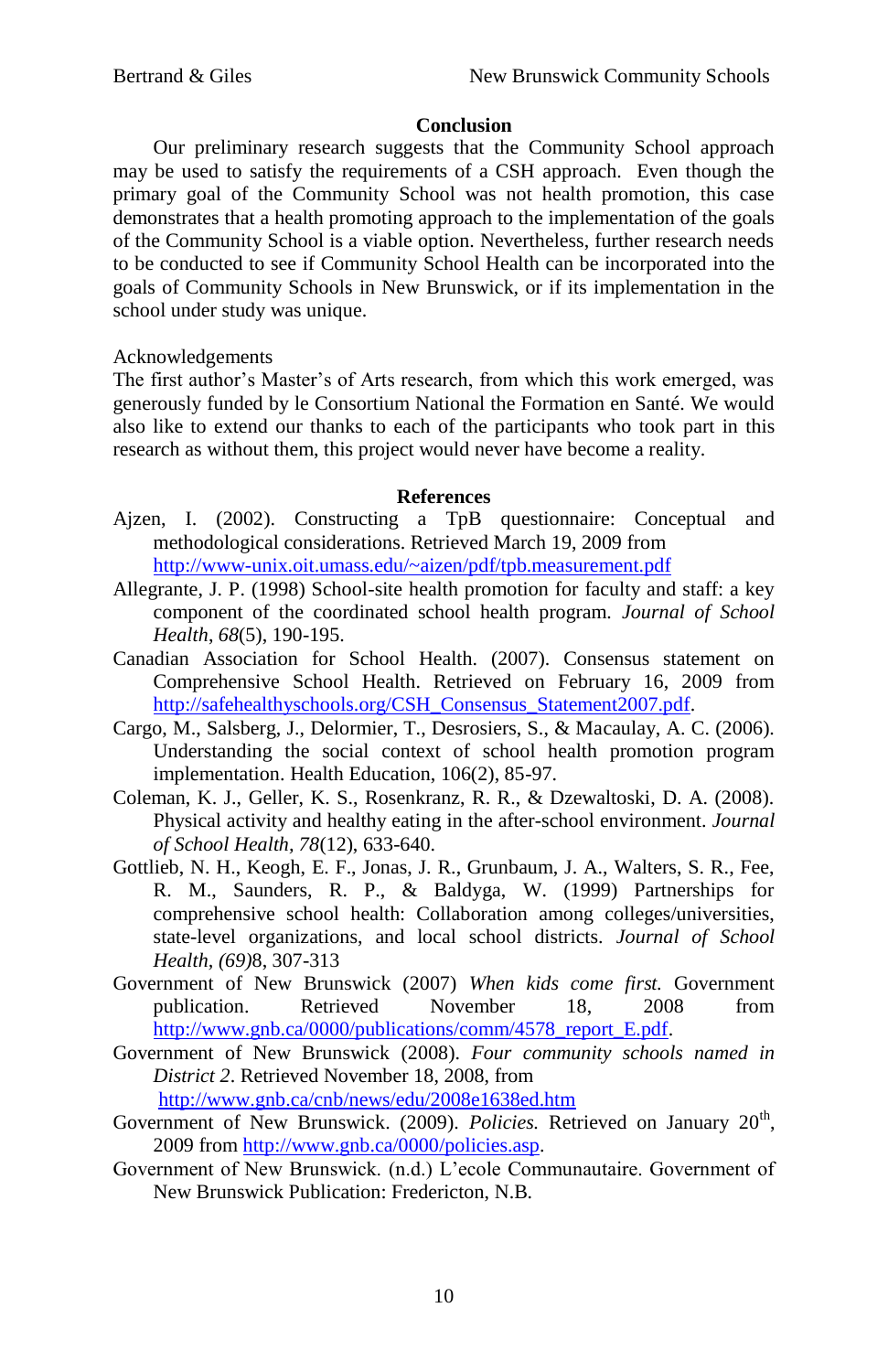# **Conclusion**

Our preliminary research suggests that the Community School approach may be used to satisfy the requirements of a CSH approach. Even though the primary goal of the Community School was not health promotion, this case demonstrates that a health promoting approach to the implementation of the goals of the Community School is a viable option. Nevertheless, further research needs to be conducted to see if Community School Health can be incorporated into the goals of Community Schools in New Brunswick, or if its implementation in the school under study was unique.

# Acknowledgements

The first author's Master's of Arts research, from which this work emerged, was generously funded by le Consortium National the Formation en Santé. We would also like to extend our thanks to each of the participants who took part in this research as without them, this project would never have become a reality.

## **References**

- Ajzen, I. (2002). Constructing a TpB questionnaire: Conceptual and methodological considerations. Retrieved March 19, 2009 from <http://www-unix.oit.umass.edu/~aizen/pdf/tpb.measurement.pdf>
- Allegrante, J. P. (1998) School-site health promotion for faculty and staff: a key component of the coordinated school health program*. Journal of School Health*, *68*(5), 190-195.
- Canadian Association for School Health. (2007). Consensus statement on Comprehensive School Health. Retrieved on February 16, 2009 from [http://safehealthyschools.org/CSH\\_Consensus\\_Statement2007.pdf.](http://safehealthyschools.org/CSH_Consensus_Statement2007.pdf)
- Cargo, M., Salsberg, J., Delormier, T., Desrosiers, S., & Macaulay, A. C. (2006). Understanding the social context of school health promotion program implementation. Health Education, 106(2), 85-97.
- Coleman, K. J., Geller, K. S., Rosenkranz, R. R., & Dzewaltoski, D. A. (2008). Physical activity and healthy eating in the after-school environment. *Journal of School Health, 78*(12), 633-640.
- Gottlieb, N. H., Keogh, E. F., Jonas, J. R., Grunbaum, J. A., Walters, S. R., Fee, R. M., Saunders, R. P., & Baldyga, W. (1999) Partnerships for comprehensive school health: Collaboration among colleges/universities, state-level organizations, and local school districts. *Journal of School Health, (69)*8, 307-313
- Government of New Brunswick (2007) *When kids come first.* Government publication. Retrieved November 18, 2008 from [http://www.gnb.ca/0000/publications/comm/4578\\_report\\_E.pdf.](http://www.gnb.ca/0000/publications/comm/4578_report_E.pdf)
- Government of New Brunswick (2008). *Four community schools named in District 2*. Retrieved November 18, 2008, from <http://www.gnb.ca/cnb/news/edu/2008e1638ed.htm>
- Government of New Brunswick. (2009). Policies. Retrieved on January 20<sup>th</sup>, 2009 fro[m http://www.gnb.ca/0000/policies.asp.](http://www.gnb.ca/0000/policies.asp)
- Government of New Brunswick. (n.d.) L'ecole Communautaire. Government of New Brunswick Publication: Fredericton, N.B.